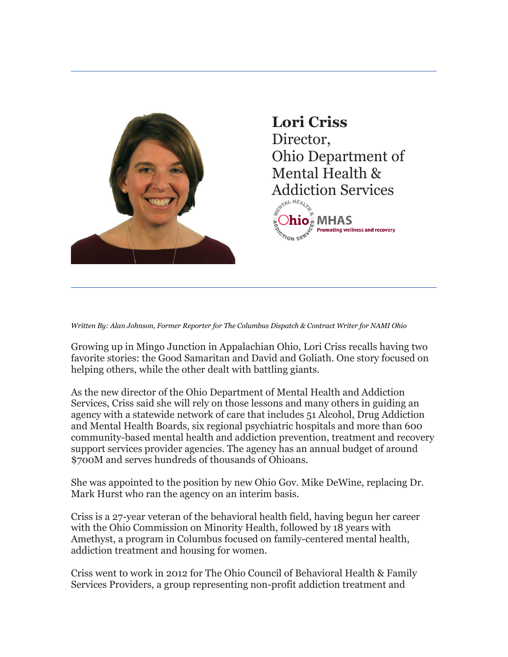

## **Lori Criss** Director, Ohio Department of Mental Health & Addiction Services



*Written By: Alan Johnson, Former Reporter for The Columbus Dispatch & Contract Writer for NAMI Ohio*

Growing up in Mingo Junction in Appalachian Ohio, Lori Criss recalls having two favorite stories: the Good Samaritan and David and Goliath. One story focused on helping others, while the other dealt with battling giants.

As the new director of the Ohio Department of Mental Health and Addiction Services, Criss said she will rely on those lessons and many others in guiding an agency with a statewide network of care that includes 51 Alcohol, Drug Addiction and Mental Health Boards, six regional psychiatric hospitals and more than 600 community-based mental health and addiction prevention, treatment and recovery support services provider agencies. The agency has an annual budget of around \$700M and serves hundreds of thousands of Ohioans.

She was appointed to the position by new Ohio Gov. Mike DeWine, replacing Dr. Mark Hurst who ran the agency on an interim basis.

Criss is a 27-year veteran of the behavioral health field, having begun her career with the Ohio Commission on Minority Health, followed by 18 years with Amethyst, a program in Columbus focused on family-centered mental health, addiction treatment and housing for women.

Criss went to work in 2012 for The Ohio Council of Behavioral Health & Family Services Providers, a group representing non-profit addiction treatment and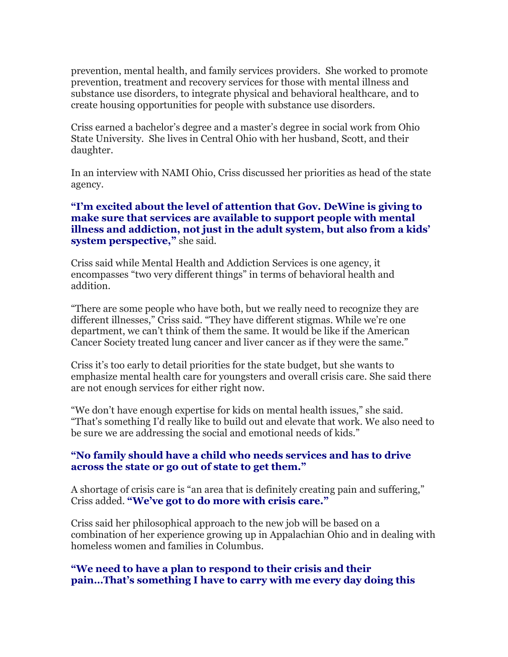prevention, mental health, and family services providers. She worked to promote prevention, treatment and recovery services for those with mental illness and substance use disorders, to integrate physical and behavioral healthcare, and to create housing opportunities for people with substance use disorders.

Criss earned a bachelor's degree and a master's degree in social work from Ohio State University. She lives in Central Ohio with her husband, Scott, and their daughter.

In an interview with NAMI Ohio, Criss discussed her priorities as head of the state agency.

## **"I'm excited about the level of attention that Gov. DeWine is giving to make sure that services are available to support people with mental illness and addiction, not just in the adult system, but also from a kids' system perspective,"** she said.

Criss said while Mental Health and Addiction Services is one agency, it encompasses "two very different things" in terms of behavioral health and addition.

"There are some people who have both, but we really need to recognize they are different illnesses," Criss said. "They have different stigmas. While we're one department, we can't think of them the same. It would be like if the American Cancer Society treated lung cancer and liver cancer as if they were the same."

Criss it's too early to detail priorities for the state budget, but she wants to emphasize mental health care for youngsters and overall crisis care. She said there are not enough services for either right now.

"We don't have enough expertise for kids on mental health issues," she said. "That's something I'd really like to build out and elevate that work. We also need to be sure we are addressing the social and emotional needs of kids."

## **"No family should have a child who needs services and has to drive across the state or go out of state to get them."**

A shortage of crisis care is "an area that is definitely creating pain and suffering," Criss added. **"We've got to do more with crisis care."**

Criss said her philosophical approach to the new job will be based on a combination of her experience growing up in Appalachian Ohio and in dealing with homeless women and families in Columbus.

## **"We need to have a plan to respond to their crisis and their pain…That's something I have to carry with me every day doing this**